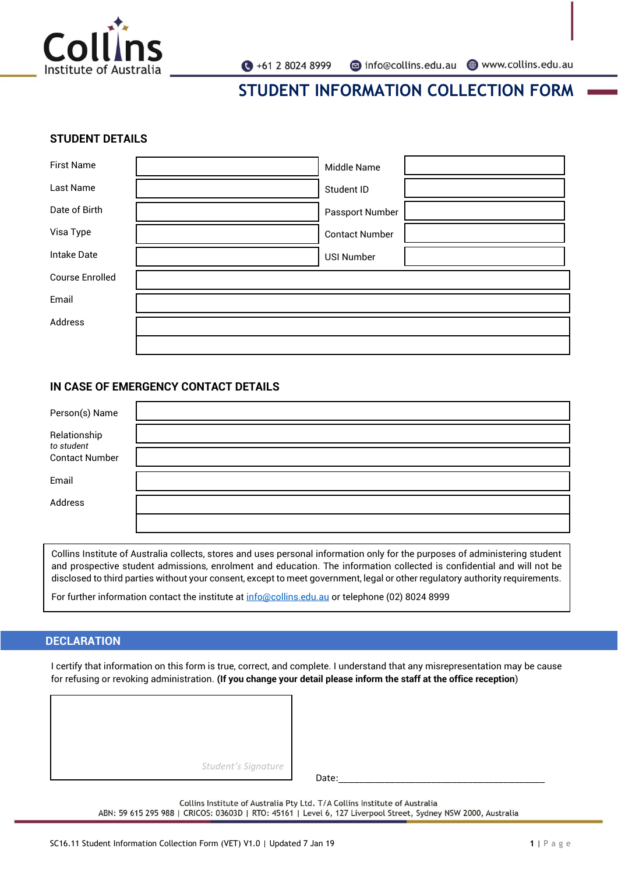

#### **STUDENT DETAILS**

| <b>First Name</b>      | Middle Name           |
|------------------------|-----------------------|
| Last Name              | Student ID            |
| Date of Birth          | Passport Number       |
| Visa Type              | <b>Contact Number</b> |
| <b>Intake Date</b>     | <b>USI Number</b>     |
| <b>Course Enrolled</b> |                       |
| Email                  |                       |
| Address                |                       |
|                        |                       |

### **IN CASE OF EMERGENCY CONTACT DETAILS**

| Person(s) Name             |  |
|----------------------------|--|
| Relationship<br>to student |  |
| <b>Contact Number</b>      |  |
| Email                      |  |
| Address                    |  |
|                            |  |

Collins Institute of Australia collects, stores and uses personal information only for the purposes of administering student and prospective student admissions, enrolment and education. The information collected is confidential and will not be disclosed to third parties without your consent, except to meet government, legal or other regulatory authority requirements.

For further information contact the institute a[t info@collins.edu.au](mailto:info@collins.edu.au) or telephone (02) 8024 8999

### **DECLARATION**

I certify that information on this form is true, correct, and complete. I understand that any misrepresentation may be cause for refusing or revoking administration. **(If you change your detail please inform the staff at the office reception**)

| Student's Signature |
|---------------------|

Date:\_\_\_\_\_\_\_\_\_\_\_\_\_\_\_\_\_\_\_\_\_\_\_\_\_\_\_\_\_\_\_\_\_\_\_\_\_\_\_\_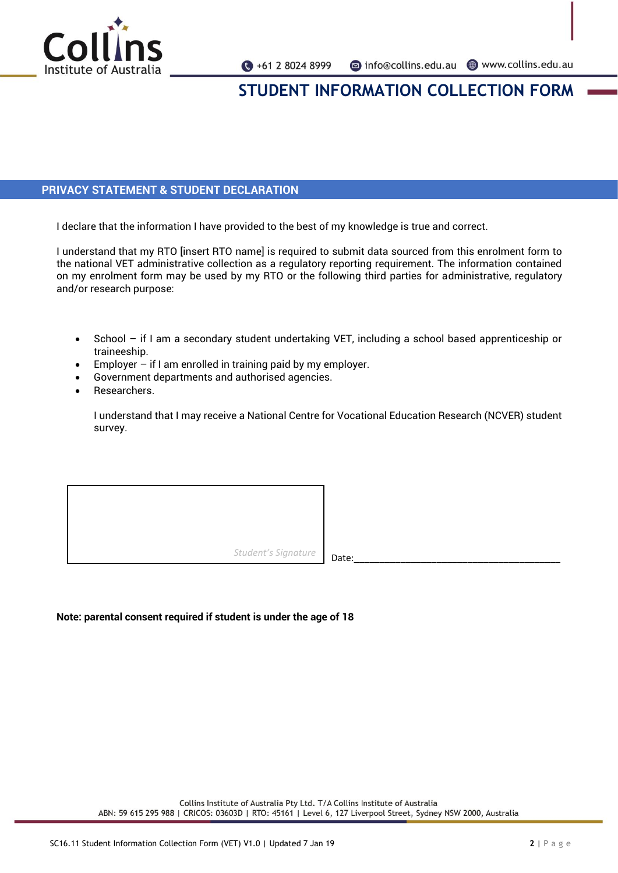

## **PRIVACY STATEMENT & STUDENT DECLARATION**

I declare that the information I have provided to the best of my knowledge is true and correct.

I understand that my RTO [insert RTO name] is required to submit data sourced from this enrolment form to the national VET administrative collection as a regulatory reporting requirement. The information contained on my enrolment form may be used by my RTO or the following third parties for administrative, regulatory and/or research purpose:

- School if I am a secondary student undertaking VET, including a school based apprenticeship or traineeship.
- Employer  $-$  if I am enrolled in training paid by my employer.
- Government departments and authorised agencies.
- Researchers.

I understand that I may receive a National Centre for Vocational Education Research (NCVER) student survey.

*Student's* Signature **Date:** 

### **Note: parental consent required if student is under the age of 18**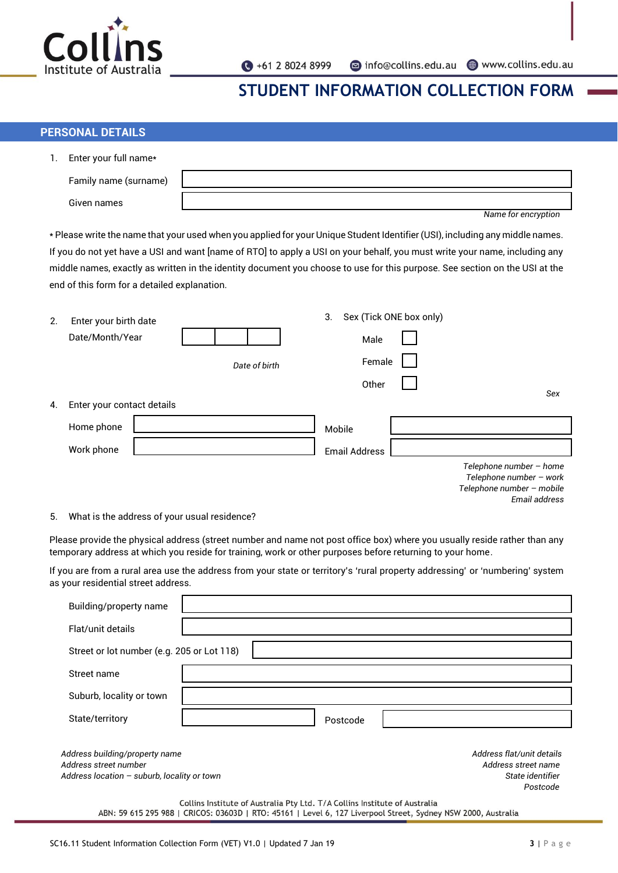

## **PERSONAL DETAILS**

| 1. | Enter your full name*                        |                                                                                                                               |
|----|----------------------------------------------|-------------------------------------------------------------------------------------------------------------------------------|
|    | Family name (surname)                        |                                                                                                                               |
|    | Given names                                  |                                                                                                                               |
|    |                                              | Name for encryption                                                                                                           |
|    |                                              | * Please write the name that your used when you applied for your Unique Student Identifier (USI), including any middle names. |
|    |                                              | If you do not yet have a USI and want [name of RTO] to apply a USI on your behalf, you must write your name, including any    |
|    |                                              | middle names, exactly as written in the identity document you choose to use for this purpose. See section on the USI at the   |
|    | end of this form for a detailed explanation. |                                                                                                                               |
|    |                                              |                                                                                                                               |
| 2. | Enter your birth date                        | Sex (Tick ONE box only)<br>3.                                                                                                 |
|    | Date/Month/Year                              | Male                                                                                                                          |
|    |                                              | Female<br>Date of birth                                                                                                       |
|    |                                              | Other<br>Sex                                                                                                                  |
| 4. | Enter your contact details                   |                                                                                                                               |
|    | Home phone                                   | Mobile                                                                                                                        |
|    | Work phone                                   | <b>Email Address</b>                                                                                                          |
|    |                                              | Telephone number - home<br>Telephone number - work<br>Telephone number - mobile<br>Email address                              |
| 5. | What is the address of your usual residence? |                                                                                                                               |

Please provide the physical address (street number and name not post office box) where you usually reside rather than any temporary address at which you reside for training, work or other purposes before returning to your home.

If you are from a rural area use the address from your state or territory's 'rural property addressing' or 'numbering' system as your residential street address.

| Building/property name                                                                                                                                                                      |                                                                                  |  |
|---------------------------------------------------------------------------------------------------------------------------------------------------------------------------------------------|----------------------------------------------------------------------------------|--|
| Flat/unit details                                                                                                                                                                           |                                                                                  |  |
| Street or lot number (e.g. 205 or Lot 118)                                                                                                                                                  |                                                                                  |  |
| Street name                                                                                                                                                                                 |                                                                                  |  |
| Suburb, locality or town                                                                                                                                                                    |                                                                                  |  |
| State/territory                                                                                                                                                                             | Postcode                                                                         |  |
| Address building/property name<br>Address street number<br>Address location $-$ suburb, locality or town                                                                                    | Address flat/unit details<br>Address street name<br>State identifier<br>Postcode |  |
| Collins Institute of Australia Pty Ltd. T/A Collins Institute of Australia<br>ABN: 59 615 295 988   CRICOS: 03603D   RTO: 45161   Level 6, 127 Liverpool Street, Sydney NSW 2000, Australia |                                                                                  |  |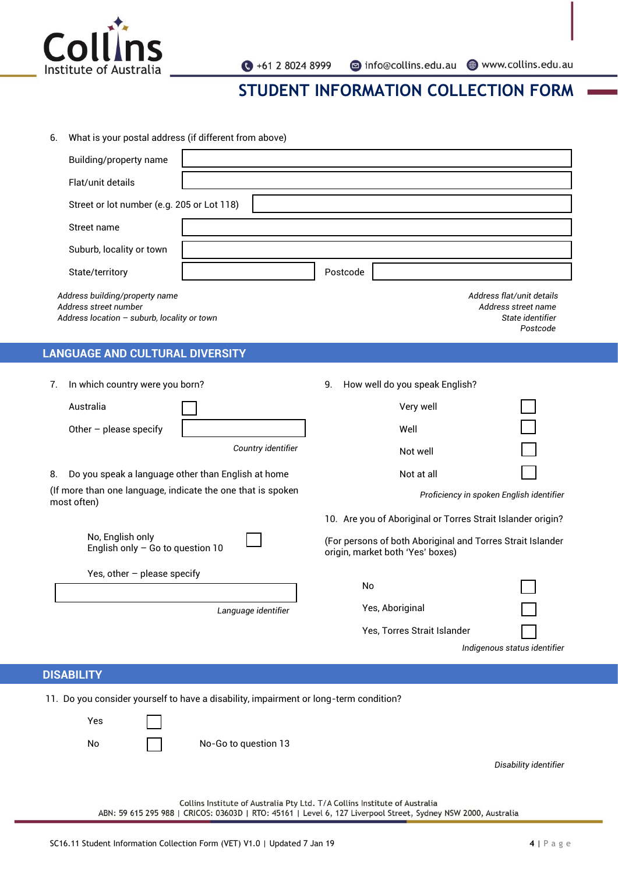

● +61 2 8024 8999

nfo@collins.edu.au @www.collins.edu.au

# **STUDENT INFORMATION COLLECTION FORM**

| 6. | What is your postal address (if different from above) |  |
|----|-------------------------------------------------------|--|
|----|-------------------------------------------------------|--|

| Building/property name                                                                                   |                                                                                  |  |
|----------------------------------------------------------------------------------------------------------|----------------------------------------------------------------------------------|--|
| Flat/unit details                                                                                        |                                                                                  |  |
| Street or lot number (e.g. 205 or Lot 118)                                                               |                                                                                  |  |
| Street name                                                                                              |                                                                                  |  |
| Suburb, locality or town                                                                                 |                                                                                  |  |
| State/territory                                                                                          | Postcode                                                                         |  |
| Address building/property name<br>Address street number<br>Address location $-$ suburb, locality or town | Address flat/unit details<br>Address street name<br>State identifier<br>Postcode |  |
| <b>LANGUAGE AND CULTURAL DIVERSITY</b>                                                                   |                                                                                  |  |
| In which country were you born?<br>7.                                                                    | How well do you speak English?<br>9.                                             |  |

| Australia                |                    |
|--------------------------|--------------------|
| Other $-$ please specify |                    |
|                          | Country identifier |

8. Do you speak a language other than English at home

(If more than one language, indicate the one that is spoken most often)

| No, English only                   |  |
|------------------------------------|--|
| English only $-$ Go to question 10 |  |

Yes, other – please specify

*Language identifier*

Very well

| Well       |  |
|------------|--|
| Not well   |  |
| Not at all |  |

*Proficiency in spoken English identifier*

10. Are you of Aboriginal or Torres Strait Islander origin?

(For persons of both Aboriginal and Torres Strait Islander origin, market both 'Yes' boxes)

| N٥                          |                              |
|-----------------------------|------------------------------|
| Yes, Aboriginal             |                              |
| Yes, Torres Strait Islander |                              |
|                             | Indigenous status identifier |

## **DISABILITY**

11. Do you consider yourself to have a disability, impairment or long-term condition?

| Yes                                                                                                                                                                                         |  |                      |                       |  |  |
|---------------------------------------------------------------------------------------------------------------------------------------------------------------------------------------------|--|----------------------|-----------------------|--|--|
| No                                                                                                                                                                                          |  | No-Go to question 13 |                       |  |  |
|                                                                                                                                                                                             |  |                      | Disability identifier |  |  |
|                                                                                                                                                                                             |  |                      |                       |  |  |
| Collins Institute of Australia Pty Ltd. T/A Collins Institute of Australia<br>ABN: 59 615 295 988   CRICOS: 03603D   RTO: 45161   Level 6, 127 Liverpool Street, Sydney NSW 2000, Australia |  |                      |                       |  |  |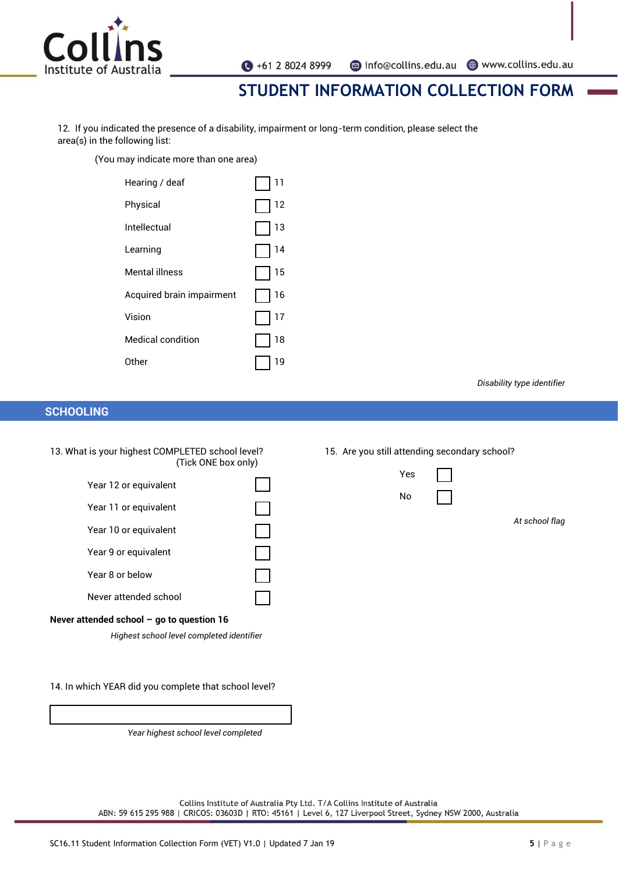

 $\bigodot$  +61 2 8024 8999

nfo@collins.edu.au www.collins.edu.au

# **STUDENT INFORMATION COLLECTION FORM**

12. If you indicated the presence of a disability, impairment or long-term condition, please select the area(s) in the following list:

(You may indicate more than one area)

| 11 |
|----|
| 12 |
| 13 |
| 14 |
| 15 |
| 16 |
| 17 |
| 18 |
| 19 |
|    |

*Disability type identifier*

### **SCHOOLING**

- 13. What is your highest COMPLETED school level? (Tick ONE box only)
	- Year 12 or equivalent Year 11 or equivalent Year 10 or equivalent Year 9 or equivalent Year 8 or below Never attended school

#### **Never attended school – go to question 16**

*Highest school level completed identifier*

14. In which YEAR did you complete that school level?

*Year highest school level completed*

#### 15. Are you still attending secondary school?

| Yes |  |
|-----|--|
| . . |  |

No

*At school flag*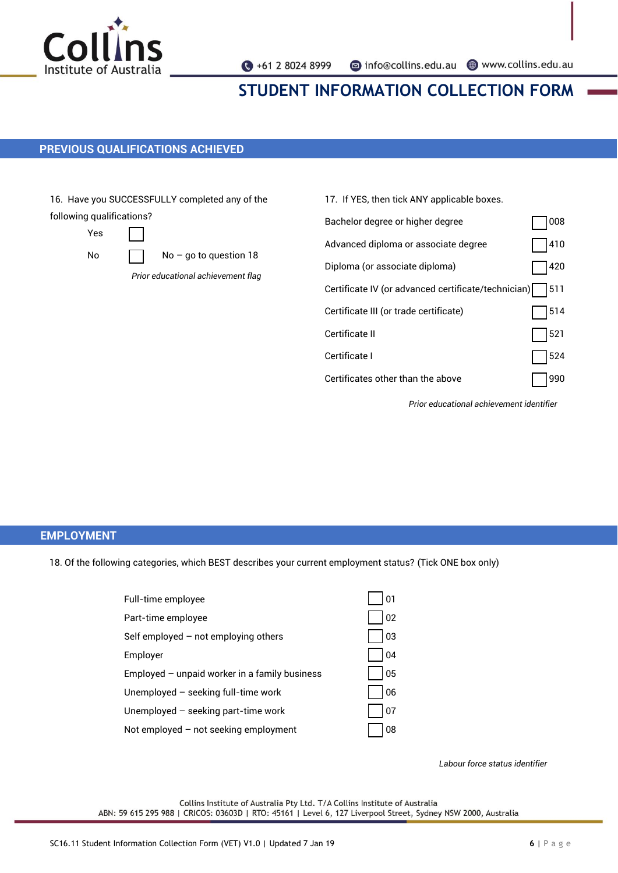

### **PREVIOUS QUALIFICATIONS ACHIEVED**

16. Have you SUCCESSFULLY completed any of the following qualifications?

Yes

No  $\Box$  No – go to question 18

*Prior educational achievement flag*

| 17. If YES, then tick ANY applicable boxes.         |     |
|-----------------------------------------------------|-----|
| Bachelor degree or higher degree                    | 008 |
| Advanced diploma or associate degree                | 410 |
| Diploma (or associate diploma)                      | 420 |
| Certificate IV (or advanced certificate/technician) | 511 |
| Certificate III (or trade certificate)              | 514 |
| Certificate II                                      | 521 |
| Certificate I                                       | 524 |
| Certificates other than the above                   | 990 |

*Prior educational achievement identifier*

### **EMPLOYMENT**

18. Of the following categories, which BEST describes your current employment status? (Tick ONE box only)

| Full-time employee                            | 01 |
|-----------------------------------------------|----|
| Part-time employee                            | 02 |
| Self employed $-$ not employing others        | 03 |
| Employer                                      | 04 |
| Employed - unpaid worker in a family business | 05 |
| Unemployed $-$ seeking full-time work         | 06 |
| Unemployed $-$ seeking part-time work         | 07 |
| Not employed - not seeking employment         | 08 |

*Labour force status identifier*